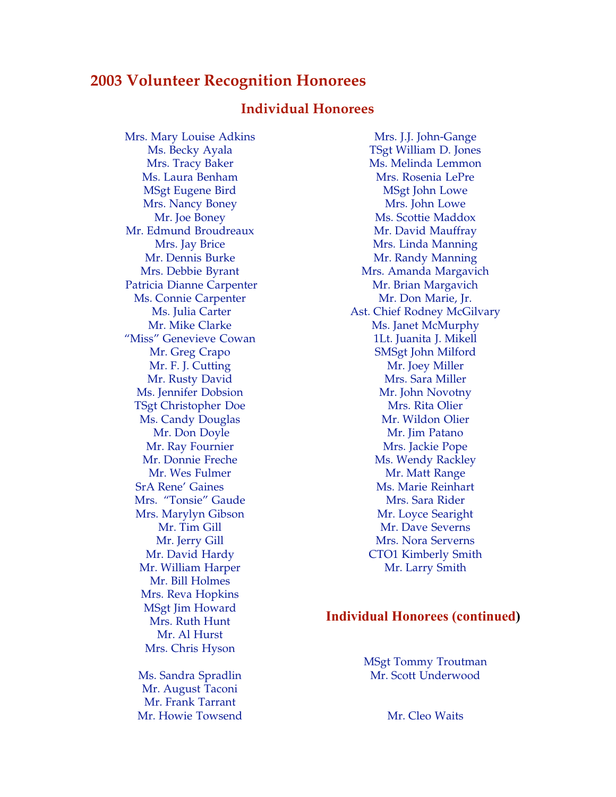# **2003 Volunteer Recognition Honorees**

## **Individual Honorees**

Mrs. Mary Louise Adkins Ms. Becky Ayala Mrs. Tracy Baker Ms. Laura Benham MSgt Eugene Bird Mrs. Nancy Boney Mr. Joe Boney Mr. Edmund Broudreaux Mrs. Jay Brice Mr. Dennis Burke Mrs. Debbie Byrant Patricia Dianne Carpenter Ms. Connie Carpenter Ms. Julia Carter Mr. Mike Clarke "Miss" Genevieve Cowan Mr. Greg Crapo Mr. F. J. Cutting Mr. Rusty David Ms. Jennifer Dobsion TSgt Christopher Doe Ms. Candy Douglas Mr. Don Doyle Mr. Ray Fournier Mr. Donnie Freche Mr. Wes Fulmer SrA Rene' Gaines Mrs. "Tonsie" Gaude Mrs. Marylyn Gibson Mr. Tim Gill Mr. Jerry Gill Mr. David Hardy Mr. William Harper Mr. Bill Holmes Mrs. Reva Hopkins MSgt Jim Howard Mrs. Ruth Hunt Mr. Al Hurst Mrs. Chris Hyson

Ms. Sandra Spradlin Mr. August Taconi Mr. Frank Tarrant Mr. Howie Towsend

Mrs. J.J. John-Gange TSgt William D. Jones Ms. Melinda Lemmon Mrs. Rosenia LePre MSgt John Lowe Mrs. John Lowe Ms. Scottie Maddox Mr. David Mauffray Mrs. Linda Manning Mr. Randy Manning Mrs. Amanda Margavich Mr. Brian Margavich Mr. Don Marie, Jr. Ast. Chief Rodney McGilvary Ms. Janet McMurphy 1Lt. Juanita J. Mikell SMSgt John Milford Mr. Joey Miller Mrs. Sara Miller Mr. John Novotny Mrs. Rita Olier Mr. Wildon Olier Mr. Jim Patano Mrs. Jackie Pope Ms. Wendy Rackley Mr. Matt Range Ms. Marie Reinhart Mrs. Sara Rider Mr. Loyce Searight Mr. Dave Severns Mrs. Nora Serverns CTO1 Kimberly Smith Mr. Larry Smith

#### **Individual Honorees (continued)**

MSgt Tommy Troutman Mr. Scott Underwood

Mr. Cleo Waits